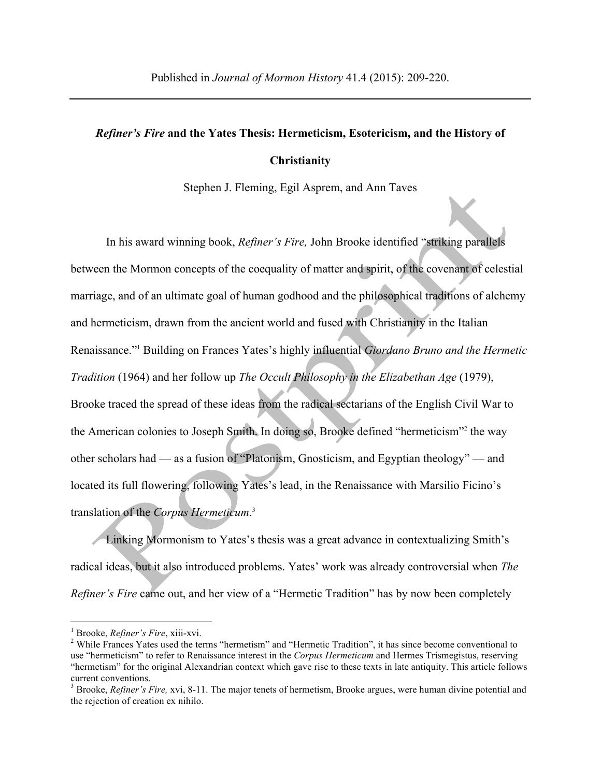## *Refiner's Fire* **and the Yates Thesis: Hermeticism, Esotericism, and the History of Christianity**

Stephen J. Fleming, Egil Asprem, and Ann Taves

In his award winning book, *Refiner's Fire,* John Brooke identified "striking parallels between the Mormon concepts of the coequality of matter and spirit, of the covenant of celestial marriage, and of an ultimate goal of human godhood and the philosophical traditions of alchemy and hermeticism, drawn from the ancient world and fused with Christianity in the Italian Renaissance."1 Building on Frances Yates's highly influential *Giordano Bruno and the Hermetic Tradition* (1964) and her follow up *The Occult Philosophy in the Elizabethan Age* (1979), Brooke traced the spread of these ideas from the radical sectarians of the English Civil War to the American colonies to Joseph Smith. In doing so, Brooke defined "hermeticism"2 the way other scholars had — as a fusion of "Platonism, Gnosticism, and Egyptian theology" — and located its full flowering, following Yates's lead, in the Renaissance with Marsilio Ficino's translation of the *Corpus Hermeticum*. 3

Linking Mormonism to Yates's thesis was a great advance in contextualizing Smith's radical ideas, but it also introduced problems. Yates' work was already controversial when *The Refiner's Fire* came out, and her view of a "Hermetic Tradition" has by now been completely

<sup>&</sup>lt;sup>1</sup> Brooke, *Refiner's Fire*, xiii-xvi.<br><sup>2</sup> While Frances Yates used the terms "hermetism" and "Hermetic Tradition", it has since become conventional to use "hermeticism" to refer to Renaissance interest in the *Corpus Hermeticum* and Hermes Trismegistus, reserving "hermetism" for the original Alexandrian context which gave rise to these texts in late antiquity. This article follows current conventions.

<sup>&</sup>lt;sup>3</sup> Brooke, *Refiner's Fire*, xvi, 8-11. The major tenets of hermetism, Brooke argues, were human divine potential and the rejection of creation ex nihilo.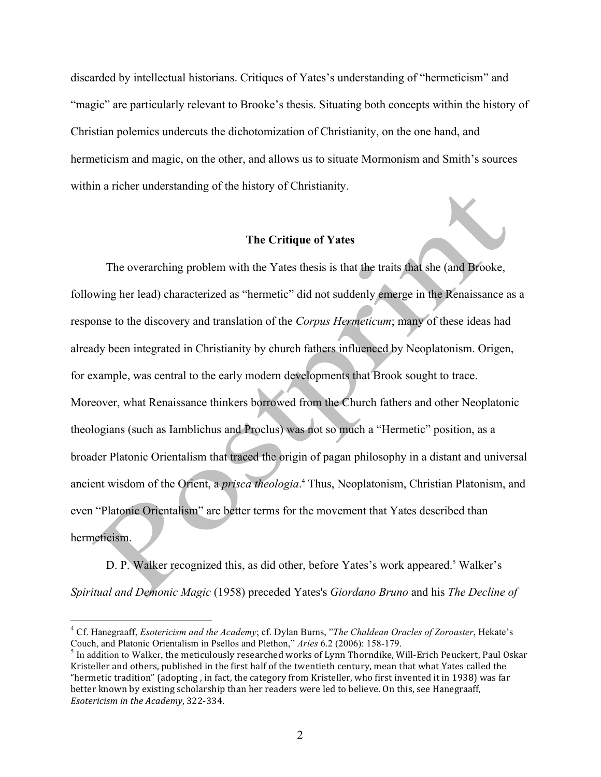discarded by intellectual historians. Critiques of Yates's understanding of "hermeticism" and "magic" are particularly relevant to Brooke's thesis. Situating both concepts within the history of Christian polemics undercuts the dichotomization of Christianity, on the one hand, and hermeticism and magic, on the other, and allows us to situate Mormonism and Smith's sources within a richer understanding of the history of Christianity.

## **The Critique of Yates**

The overarching problem with the Yates thesis is that the traits that she (and Brooke, following her lead) characterized as "hermetic" did not suddenly emerge in the Renaissance as a response to the discovery and translation of the *Corpus Hermeticum*; many of these ideas had already been integrated in Christianity by church fathers influenced by Neoplatonism. Origen, for example, was central to the early modern developments that Brook sought to trace. Moreover, what Renaissance thinkers borrowed from the Church fathers and other Neoplatonic theologians (such as Iamblichus and Proclus) was not so much a "Hermetic" position, as a broader Platonic Orientalism that traced the origin of pagan philosophy in a distant and universal ancient wisdom of the Orient, a *prisca theologia*. <sup>4</sup> Thus, Neoplatonism, Christian Platonism, and even "Platonic Orientalism" are better terms for the movement that Yates described than hermeticism.

D. P. Walker recognized this, as did other, before Yates's work appeared.<sup>5</sup> Walker's *Spiritual and Demonic Magic* (1958) preceded Yates's *Giordano Bruno* and his *The Decline of* 

 <sup>4</sup> Cf. Hanegraaff, *Esotericism and the Academy*; cf. Dylan Burns, "*The Chaldean Oracles of Zoroaster*, Hekate's Couch, and Platonic Orientalism in Psellos and Plethon," *Aries* 6.2 (2006): 158-179.

 $<sup>5</sup>$  In addition to Walker, the meticulously researched works of Lynn Thorndike, Will-Erich Peuckert, Paul Oskar</sup> Kristeller and others, published in the first half of the twentieth century, mean that what Yates called the "hermetic tradition" (adopting, in fact, the category from Kristeller, who first invented it in 1938) was far better known by existing scholarship than her readers were led to believe. On this, see Hanegraaff, *Esotericism in the Academy*, 322-334.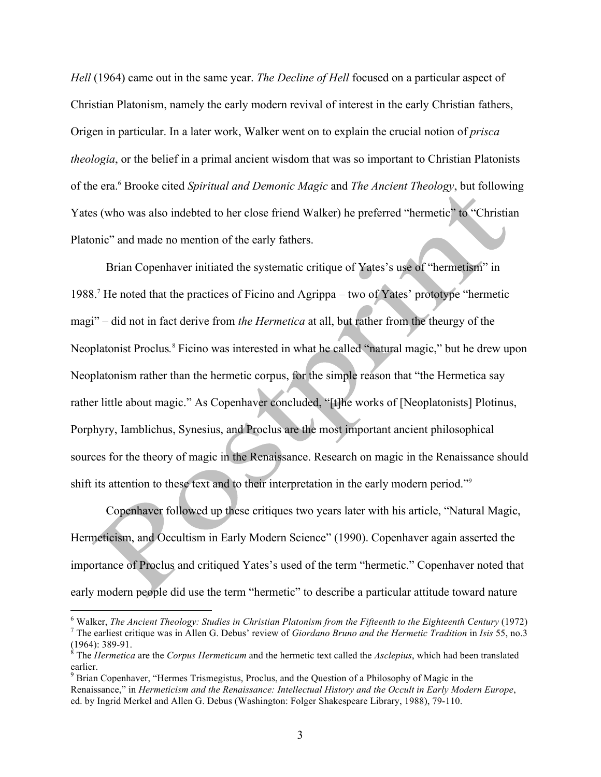*Hell* (1964) came out in the same year. *The Decline of Hell* focused on a particular aspect of Christian Platonism, namely the early modern revival of interest in the early Christian fathers, Origen in particular. In a later work, Walker went on to explain the crucial notion of *prisca theologia*, or the belief in a primal ancient wisdom that was so important to Christian Platonists of the era.6 Brooke cited *Spiritual and Demonic Magic* and *The Ancient Theology*, but following Yates (who was also indebted to her close friend Walker) he preferred "hermetic" to "Christian Platonic" and made no mention of the early fathers.

Brian Copenhaver initiated the systematic critique of Yates's use of "hermetism" in 1988.7 He noted that the practices of Ficino and Agrippa – two of Yates' prototype "hermetic magi" – did not in fact derive from *the Hermetica* at all, but rather from the theurgy of the Neoplatonist Proclus*.* <sup>8</sup> Ficino was interested in what he called "natural magic," but he drew upon Neoplatonism rather than the hermetic corpus, for the simple reason that "the Hermetica say rather little about magic." As Copenhaver concluded, "[t]he works of [Neoplatonists] Plotinus, Porphyry, Iamblichus, Synesius, and Proclus are the most important ancient philosophical sources for the theory of magic in the Renaissance. Research on magic in the Renaissance should shift its attention to these text and to their interpretation in the early modern period."9

Copenhaver followed up these critiques two years later with his article, "Natural Magic, Hermeticism, and Occultism in Early Modern Science" (1990). Copenhaver again asserted the importance of Proclus and critiqued Yates's used of the term "hermetic." Copenhaver noted that early modern people did use the term "hermetic" to describe a particular attitude toward nature

<sup>&</sup>lt;sup>6</sup> Walker, *The Ancient Theology: Studies in Christian Platonism from the Fifteenth to the Eighteenth Century (1972)*<br><sup>7</sup> The earliest critique was in Allen G. Debus' review of *Giordano Bruno and the Hermetic Tradition* (1964): 389-91.<br><sup>8</sup> The *Hermetica* are the *Corpus Hermeticum* and the hermetic text called the *Asclepius*, which had been translated

earlier.

<sup>&</sup>lt;sup>9</sup> Brian Copenhaver, "Hermes Trismegistus, Proclus, and the Question of a Philosophy of Magic in the Renaissance," in *Hermeticism and the Renaissance: Intellectual History and the Occult in Early Modern Europe*, ed. by Ingrid Merkel and Allen G. Debus (Washington: Folger Shakespeare Library, 1988), 79-110.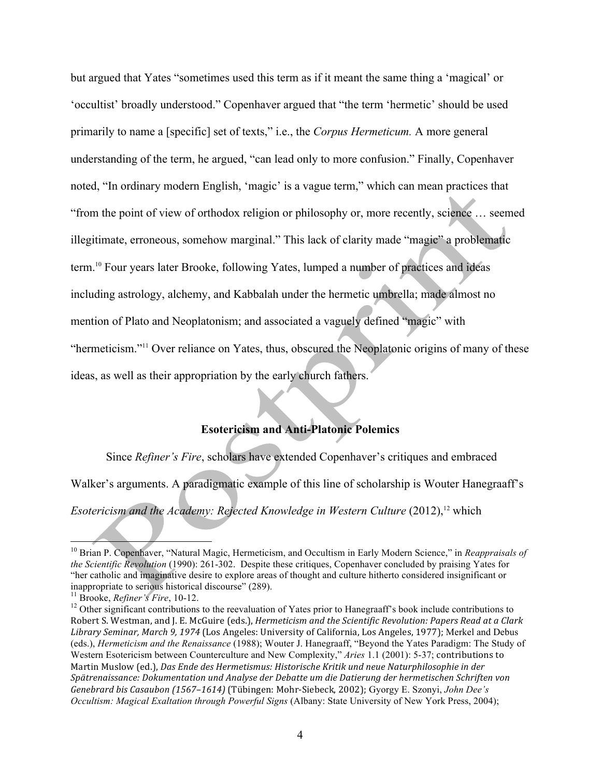but argued that Yates "sometimes used this term as if it meant the same thing a 'magical' or 'occultist' broadly understood." Copenhaver argued that "the term 'hermetic' should be used primarily to name a [specific] set of texts," i.e., the *Corpus Hermeticum.* A more general understanding of the term, he argued, "can lead only to more confusion." Finally, Copenhaver noted, "In ordinary modern English, 'magic' is a vague term," which can mean practices that "from the point of view of orthodox religion or philosophy or, more recently, science … seemed illegitimate, erroneous, somehow marginal." This lack of clarity made "magic" a problematic term.10 Four years later Brooke, following Yates, lumped a number of practices and ideas including astrology, alchemy, and Kabbalah under the hermetic umbrella; made almost no mention of Plato and Neoplatonism; and associated a vaguely defined "magic" with "hermeticism."<sup>11</sup> Over reliance on Yates, thus, obscured the Neoplatonic origins of many of these ideas, as well as their appropriation by the early church fathers.

## **Esotericism and Anti-Platonic Polemics**

Since *Refiner's Fire*, scholars have extended Copenhaver's critiques and embraced Walker's arguments. A paradigmatic example of this line of scholarship is Wouter Hanegraaff's

*Esotericism and the Academy: Rejected Knowledge in Western Culture* (2012), <sup>12</sup> which

<sup>&</sup>lt;sup>10</sup> Brian P. Copenhaver, "Natural Magic, Hermeticism, and Occultism in Early Modern Science," in *Reappraisals of the Scientific Revolution* (1990): 261-302. Despite these critiques, Copenhaver concluded by praising Yates for "her catholic and imaginative desire to explore areas of thought and culture hitherto considered insignificant or inappropriate to serious historical discourse" (289).<br><sup>11</sup> Brooke, *Refiner's Fire*, 10-12.<br><sup>12</sup> Other significant contributions to the reevaluation of Yates prior to Hanegraaff's book include contributions to

Robert S. Westman, and J. E. McGuire (eds.), *Hermeticism and the Scientific Revolution: Papers Read at a Clark* Library Seminar, March 9, 1974 (Los Angeles: University of California, Los Angeles, 1977); Merkel and Debus (eds.), *Hermeticism and the Renaissance* (1988); Wouter J. Hanegraaff, "Beyond the Yates Paradigm: The Study of Western Esotericism between Counterculture and New Complexity," *Aries* 1.1 (2001): 5-37; contributions to Martin Muslow (ed.), *Das Ende des Hermetismus: Historische Kritik und neue Naturphilosophie in der* Spätrenaissance: Dokumentation und Analyse der Debatte um die Datierung der hermetischen Schriften von *Genebrard bis Casaubon (1567–1614)* (Tübingen: Mohr-Siebeck, 2002); Gyorgy E. Szonyi, *John Dee's Occultism: Magical Exaltation through Powerful Signs* (Albany: State University of New York Press, 2004);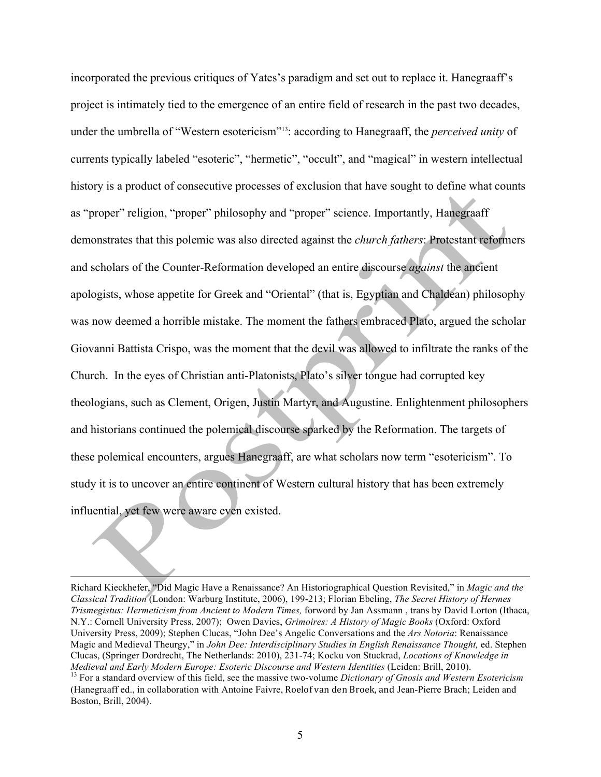incorporated the previous critiques of Yates's paradigm and set out to replace it. Hanegraaff's project is intimately tied to the emergence of an entire field of research in the past two decades, under the umbrella of "Western esotericism"13: according to Hanegraaff, the *perceived unity* of currents typically labeled "esoteric", "hermetic", "occult", and "magical" in western intellectual history is a product of consecutive processes of exclusion that have sought to define what counts as "proper" religion, "proper" philosophy and "proper" science. Importantly, Hanegraaff demonstrates that this polemic was also directed against the *church fathers*: Protestant reformers and scholars of the Counter-Reformation developed an entire discourse *against* the ancient apologists, whose appetite for Greek and "Oriental" (that is, Egyptian and Chaldean) philosophy was now deemed a horrible mistake. The moment the fathers embraced Plato, argued the scholar Giovanni Battista Crispo, was the moment that the devil was allowed to infiltrate the ranks of the Church. In the eyes of Christian anti-Platonists, Plato's silver tongue had corrupted key theologians, such as Clement, Origen, Justin Martyr, and Augustine. Enlightenment philosophers and historians continued the polemical discourse sparked by the Reformation. The targets of these polemical encounters, argues Hanegraaff, are what scholars now term "esotericism". To study it is to uncover an entire continent of Western cultural history that has been extremely influential, yet few were aware even existed.

 Richard Kieckhefer, "Did Magic Have a Renaissance? An Historiographical Question Revisited," in *Magic and the Classical Tradition* (London: Warburg Institute, 2006), 199-213; Florian Ebeling, *The Secret History of Hermes Trismegistus: Hermeticism from Ancient to Modern Times,* forword by Jan Assmann , trans by David Lorton (Ithaca, N.Y.: Cornell University Press, 2007); Owen Davies, *Grimoires: A History of Magic Books* (Oxford: Oxford University Press, 2009); Stephen Clucas, "John Dee's Angelic Conversations and the *Ars Notoria*: Renaissance Magic and Medieval Theurgy," in *John Dee: Interdisciplinary Studies in English Renaissance Thought,* ed. Stephen Clucas, (Springer Dordrecht, The Netherlands: 2010), 231-74; Kocku von Stuckrad, *Locations of Knowledge in*  Medieval and Early Modern Europe: Esoteric Discourse and Western Identities (Leiden: Brill, 2010).<br><sup>13</sup> For a standard overview of this field, see the massive two-volume Dictionary of Gnosis and Western Esotericism

<sup>(</sup>Hanegraaff ed., in collaboration with Antoine Faivre, Roelof van den Broek, and Jean-Pierre Brach; Leiden and Boston, Brill, 2004).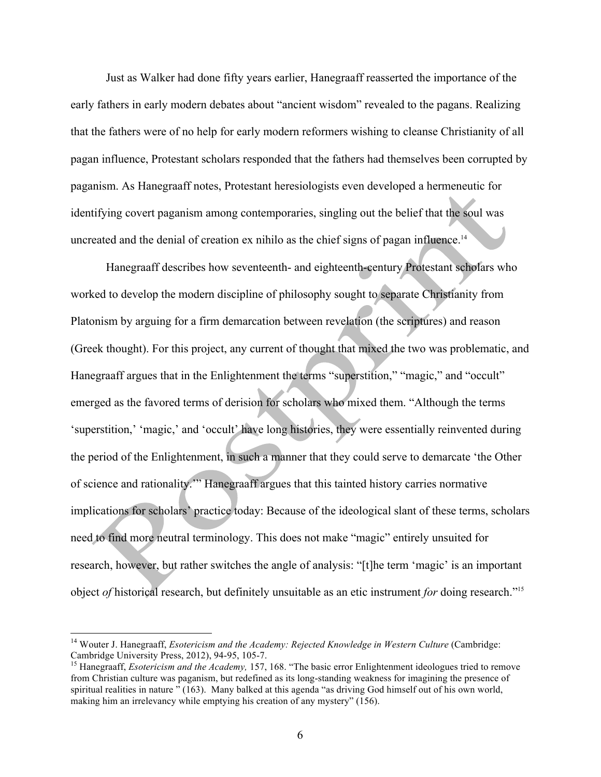Just as Walker had done fifty years earlier, Hanegraaff reasserted the importance of the early fathers in early modern debates about "ancient wisdom" revealed to the pagans. Realizing that the fathers were of no help for early modern reformers wishing to cleanse Christianity of all pagan influence, Protestant scholars responded that the fathers had themselves been corrupted by paganism. As Hanegraaff notes, Protestant heresiologists even developed a hermeneutic for identifying covert paganism among contemporaries, singling out the belief that the soul was uncreated and the denial of creation ex nihilo as the chief signs of pagan influence.<sup>14</sup>

Hanegraaff describes how seventeenth- and eighteenth-century Protestant scholars who worked to develop the modern discipline of philosophy sought to separate Christianity from Platonism by arguing for a firm demarcation between revelation (the scriptures) and reason (Greek thought). For this project, any current of thought that mixed the two was problematic, and Hanegraaff argues that in the Enlightenment the terms "superstition," "magic," and "occult" emerged as the favored terms of derision for scholars who mixed them. "Although the terms 'superstition,' 'magic,' and 'occult' have long histories, they were essentially reinvented during the period of the Enlightenment, in such a manner that they could serve to demarcate 'the Other of science and rationality.'" Hanegraaff argues that this tainted history carries normative implications for scholars' practice today: Because of the ideological slant of these terms, scholars need to find more neutral terminology. This does not make "magic" entirely unsuited for research, however, but rather switches the angle of analysis: "[t]he term 'magic' is an important object *of* historical research, but definitely unsuitable as an etic instrument *for* doing research."15

<sup>&</sup>lt;sup>14</sup> Wouter J. Hanegraaff, *Esotericism and the Academy: Rejected Knowledge in Western Culture* (Cambridge: Cambridge: Cambridge: Cambridge: Cambridge: Cambridge: Cambridge: Cambridge: Cambridge: Cambridge: Cambridge: Camb

<sup>&</sup>lt;sup>15</sup> Hanegraaff, *Esotericism and the Academy*, 157, 168. "The basic error Enlightenment ideologues tried to remove from Christian culture was paganism, but redefined as its long-standing weakness for imagining the presence of spiritual realities in nature " (163). Many balked at this agenda "as driving God himself out of his own world, making him an irrelevancy while emptying his creation of any mystery" (156).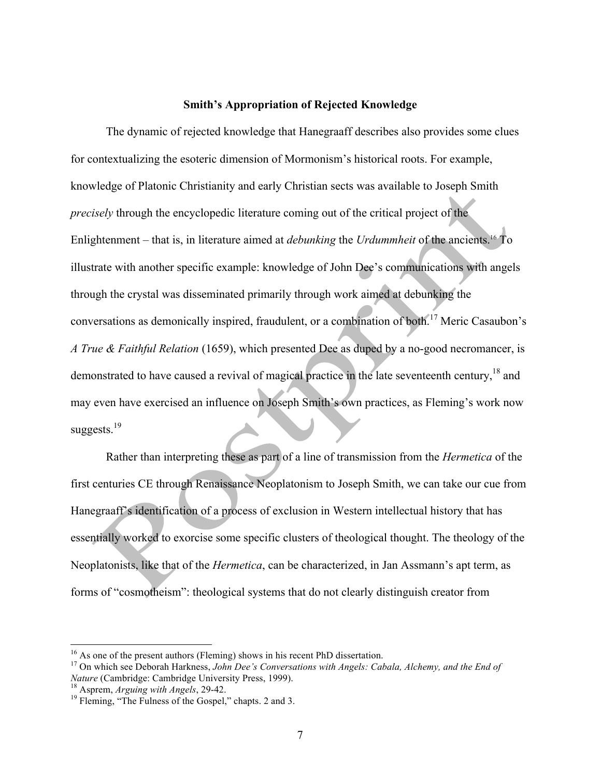## **Smith's Appropriation of Rejected Knowledge**

The dynamic of rejected knowledge that Hanegraaff describes also provides some clues for contextualizing the esoteric dimension of Mormonism's historical roots. For example, knowledge of Platonic Christianity and early Christian sects was available to Joseph Smith *precisely* through the encyclopedic literature coming out of the critical project of the Enlightenment – that is, in literature aimed at *debunking* the *Urdummheit* of the ancients.16 To illustrate with another specific example: knowledge of John Dee's communications with angels through the crystal was disseminated primarily through work aimed at debunking the conversations as demonically inspired, fraudulent, or a combination of both.<sup>17</sup> Meric Casaubon's *A True & Faithful Relation* (1659), which presented Dee as duped by a no-good necromancer, is demonstrated to have caused a revival of magical practice in the late seventeenth century,<sup>18</sup> and may even have exercised an influence on Joseph Smith's own practices, as Fleming's work now suggests. $19$ 

Rather than interpreting these as part of a line of transmission from the *Hermetica* of the first centuries CE through Renaissance Neoplatonism to Joseph Smith, we can take our cue from Hanegraaff's identification of a process of exclusion in Western intellectual history that has essentially worked to exorcise some specific clusters of theological thought. The theology of the Neoplatonists, like that of the *Hermetica*, can be characterized, in Jan Assmann's apt term, as forms of "cosmotheism": theological systems that do not clearly distinguish creator from

<sup>&</sup>lt;sup>16</sup> As one of the present authors (Fleming) shows in his recent PhD dissertation.<br><sup>17</sup> On which see Deborah Harkness, *John Dee's Conversations with Angels: Cabala, Alchemy, and the End of Nature* (Cambridge: Cambridge Un

<sup>&</sup>lt;sup>18</sup> Asprem, *Arguing with Angels*, 29-42. <sup>19</sup> Fleming, "The Fulness of the Gospel," chapts. 2 and 3.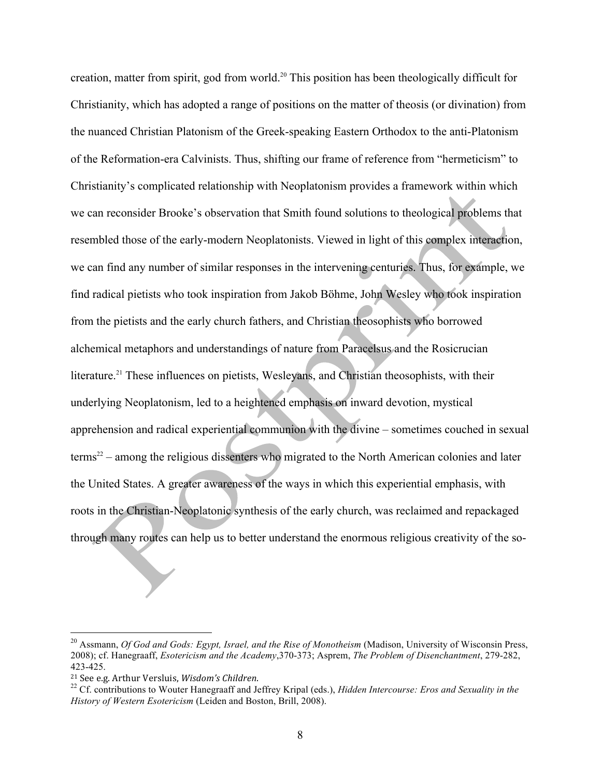creation, matter from spirit, god from world.<sup>20</sup> This position has been theologically difficult for Christianity, which has adopted a range of positions on the matter of theosis (or divination) from the nuanced Christian Platonism of the Greek-speaking Eastern Orthodox to the anti-Platonism of the Reformation-era Calvinists. Thus, shifting our frame of reference from "hermeticism" to Christianity's complicated relationship with Neoplatonism provides a framework within which we can reconsider Brooke's observation that Smith found solutions to theological problems that resembled those of the early-modern Neoplatonists. Viewed in light of this complex interaction, we can find any number of similar responses in the intervening centuries. Thus, for example, we find radical pietists who took inspiration from Jakob Böhme, John Wesley who took inspiration from the pietists and the early church fathers, and Christian theosophists who borrowed alchemical metaphors and understandings of nature from Paracelsus and the Rosicrucian literature.<sup>21</sup> These influences on pietists, Wesleyans, and Christian theosophists, with their underlying Neoplatonism, led to a heightened emphasis on inward devotion, mystical apprehension and radical experiential communion with the divine – sometimes couched in sexual terms<sup>22</sup> – among the religious dissenters who migrated to the North American colonies and later the United States. A greater awareness of the ways in which this experiential emphasis, with roots in the Christian-Neoplatonic synthesis of the early church, was reclaimed and repackaged through many routes can help us to better understand the enormous religious creativity of the so-

<sup>&</sup>lt;sup>20</sup> Assmann, *Of God and Gods: Egypt, Israel, and the Rise of Monotheism* (Madison, University of Wisconsin Press, 2008); cf. Hanegraaff, *Esotericism and the Academy*,370-373; Asprem, *The Problem of Disenchantment*, 279-282, 423-425.

<sup>&</sup>lt;sup>21</sup> See e.g. Arthur Versluis, *Wisdom's Children*.<br><sup>22</sup> Cf. contributions to Wouter Hanegraaff and Jeffrey Kripal (eds.), *Hidden Intercourse: Eros and Sexuality in the History of Western Esotericism* (Leiden and Boston, Brill, 2008).